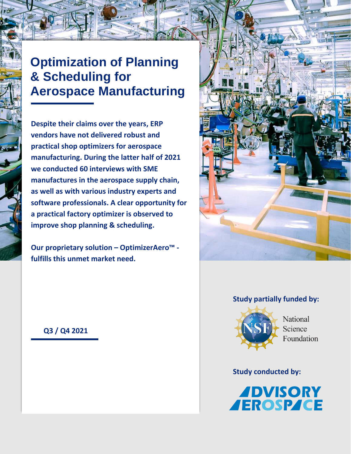# **Optimization of Planning & Scheduling for Aerospace Manufacturing**

**Despite their claims over the years, ERP vendors have not delivered robust and practical shop optimizers for aerospace manufacturing. During the latter half of 2021 we conducted 60 interviews with SME manufactures in the aerospace supply chain, as well as with various industry experts and software professionals. A clear opportunity for a practical factory optimizer is observed to improve shop planning & scheduling.** 

**Our proprietary solution – OptimizerAero™ fulfills this unmet market need.**



#### **Study partially funded by:**



National Science Foundation

#### **Study conducted by:**



 **Q3 / Q4 2021**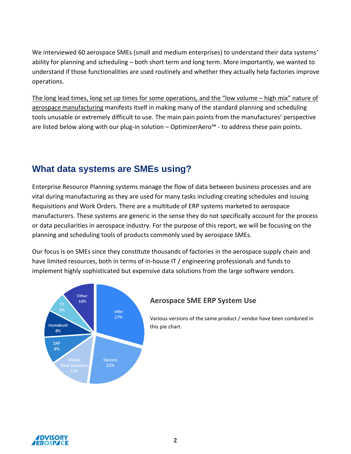We interviewed 60 aerospace SMEs (small and medium enterprises) to understand their data systems' ability for planning and scheduling – both short term and long term. More importantly, we wanted to understand if those functionalities are used routinely and whether they actually help factories improve operations.

The long lead times, long set up times for some operations, and the "low volume – high mix" nature of aerospace manufacturing manifests itself in making many of the standard planning and scheduling tools unusable or extremely difficult to use. The main pain points from the manufactures' perspective are listed below along with our plug-in solution – OptimizerAero™ - to address these pain points.

### **What data systems are SMEs using?**

Enterprise Resource Planning systems manage the flow of data between business processes and are vital during manufacturing as they are used for many tasks including creating schedules and issuing Requisitions and Work Orders. There are a multitude of ERP systems marketed to aerospace manufacturers. These systems are generic in the sense they do not specifically account for the process or data peculiarities in aerospace industry. For the purpose of this report, we will be focusing on the planning and scheduling tools of products commonly used by aerospace SMEs.

Our focus is on SMEs since they constitute thousands of factories in the aerospace supply chain and have limited resources, both in terms of in-house IT / engineering professionals and funds to implement highly sophisticated but expensive data solutions from the large software vendors.



#### **Aerospace SME ERP System Use**

Various versions of the same product / vendor have been combined in this pie chart.

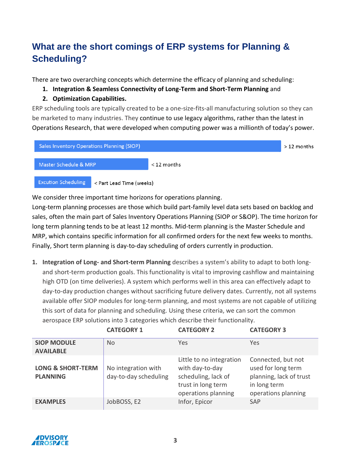## **What are the short comings of ERP systems for Planning & Scheduling?**

There are two overarching concepts which determine the efficacy of planning and scheduling:

- **1. Integration & Seamless Connectivity of Long-Term and Short-Term Planning** and
- **2. Optimization Capabilities.**

ERP scheduling tools are typically created to be a one-size-fits-all manufacturing solution so they can be marketed to many industries. They continue to use legacy algorithms, rather than the latest in Operations Research, that were developed when computing power was a millionth of today's power.



We consider three important time horizons for operations planning.

Long-term planning processes are those which build part-family level data sets based on backlog and sales, often the main part of Sales Inventory Operations Planning (SIOP or S&OP). The time horizon for long term planning tends to be at least 12 months. Mid-term planning is the Master Schedule and MRP, which contains specific information for all confirmed orders for the next few weeks to months. Finally, Short term planning is day-to-day scheduling of orders currently in production.

**1. Integration of Long- and Short-term Planning** describes a system's ability to adapt to both longand short-term production goals. This functionality is vital to improving cashflow and maintaining high OTD (on time deliveries). A system which performs well in this area can effectively adapt to day-to-day production changes without sacrificing future delivery dates. Currently, not all systems available offer SIOP modules for long-term planning, and most systems are not capable of utilizing this sort of data for planning and scheduling. Using these criteria, we can sort the common aerospace ERP solutions into 3 categories which describe their functionality.

|                                                 | <b>CATEGORY 1</b>                            | <b>CATEGORY 2</b>                                                                                               | <b>CATEGORY 3</b>                                                                                          |
|-------------------------------------------------|----------------------------------------------|-----------------------------------------------------------------------------------------------------------------|------------------------------------------------------------------------------------------------------------|
| <b>SIOP MODULE</b><br><b>AVAILABLE</b>          | <b>No</b>                                    | <b>Yes</b>                                                                                                      | Yes                                                                                                        |
| <b>LONG &amp; SHORT-TERM</b><br><b>PLANNING</b> | No integration with<br>day-to-day scheduling | Little to no integration<br>with day-to-day<br>scheduling, lack of<br>trust in long term<br>operations planning | Connected, but not<br>used for long term<br>planning, lack of trust<br>in long term<br>operations planning |
| <b>EXAMPLES</b>                                 | JobBOSS, E2                                  | Infor, Epicor                                                                                                   | <b>SAP</b>                                                                                                 |

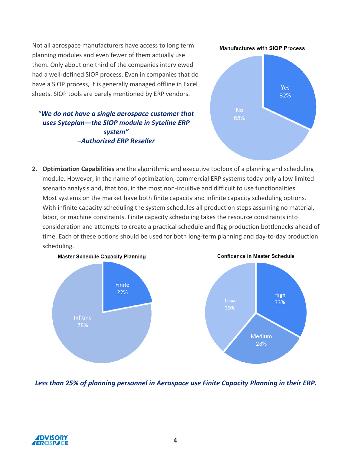Not all aerospace manufacturers have access to long term planning modules and even fewer of them actually use them. Only about one third of the companies interviewed had a well-defined SIOP process. Even in companies that do have a SIOP process, it is generally managed offline in Excel sheets. SIOP tools are barely mentioned by ERP vendors.

"*We do not have a single aerospace customer that uses Syteplan—the SIOP module in Syteline ERP system" –Authorized ERP Reseller* 





**2. Optimization Capabilities** are the algorithmic and executive toolbox of a planning and scheduling module. However, in the name of optimization, commercial ERP systems today only allow limited scenario analysis and, that too, in the most non-intuitive and difficult to use functionalities. Most systems on the market have both finite capacity and infinite capacity scheduling options. With infinite capacity scheduling the system schedules all production steps assuming no material, labor, or machine constraints. Finite capacity scheduling takes the resource constraints into consideration and attempts to create a practical schedule and flag production bottlenecks ahead of time. Each of these options should be used for both long-term planning and day-to-day production scheduling.



*Less than 25% of planning personnel in Aerospace use Finite Capacity Planning in their ERP.*

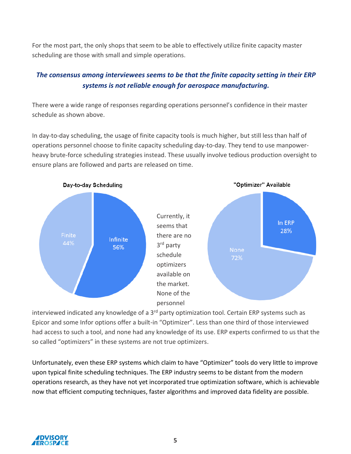For the most part, the only shops that seem to be able to effectively utilize finite capacity master scheduling are those with small and simple operations.

#### *The consensus among interviewees seems to be that the finite capacity setting in their ERP systems is not reliable enough for aerospace manufacturing.*

There were a wide range of responses regarding operations personnel's confidence in their master schedule as shown above.

In day-to-day scheduling, the usage of finite capacity tools is much higher, but still less than half of operations personnel choose to finite capacity scheduling day-to-day. They tend to use manpowerheavy brute-force scheduling strategies instead. These usually involve tedious production oversight to ensure plans are followed and parts are released on time.



interviewed indicated any knowledge of a  $3<sup>rd</sup>$  party optimization tool. Certain ERP systems such as Epicor and some Infor options offer a built-in "Optimizer". Less than one third of those interviewed had access to such a tool, and none had any knowledge of its use. ERP experts confirmed to us that the so called "optimizers" in these systems are not true optimizers.

Unfortunately, even these ERP systems which claim to have "Optimizer" tools do very little to improve upon typical finite scheduling techniques. The ERP industry seems to be distant from the modern operations research, as they have not yet incorporated true optimization software, which is achievable now that efficient computing techniques, faster algorithms and improved data fidelity are possible.

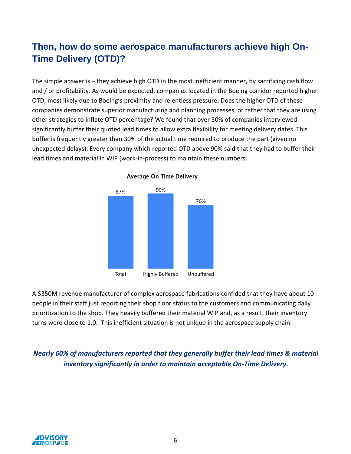### **Then, how do some aerospace manufacturers achieve high On-Time Delivery (OTD)?**

The simple answer is – they achieve high OTD in the most inefficient manner, by sacrificing cash flow and / or profitability. As would be expected, companies located in the Boeing corridor reported higher OTD, most likely due to Boeing's proximity and relentless pressure. Does the higher OTD of these companies demonstrate superior manufacturing and planning processes, or rather that they are using other strategies to inflate OTD percentage? We found that over 50% of companies interviewed significantly buffer their quoted lead times to allow extra flexibility for meeting delivery dates. This buffer is frequently greater than 30% of the actual time required to produce the part (given no unexpected delays). Every company which reported OTD above 90% said that they had to buffer their lead times and material in WIP (work-in-process) to maintain these numbers.



**Average On Time Delivery** 

A \$350M revenue manufacturer of complex aerospace fabrications confided that they have about 10 people in their staff just reporting their shop floor status to the customers and communicating daily prioritization to the shop. They heavily buffered their material WIP and, as a result, their inventory turns were close to 1.0. This inefficient situation is not unique in the aerospace supply chain.

*Nearly 60% of manufacturers reported that they generally buffer their lead times & material inventory significantly in order to maintain acceptable On-Time Delivery.*

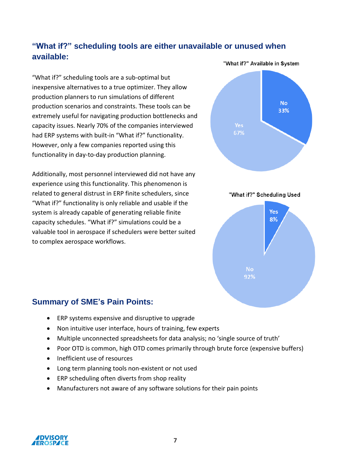### **"What if?" scheduling tools are either unavailable or unused when available:**

"What if?" scheduling tools are a sub-optimal but inexpensive alternatives to a true optimizer. They allow production planners to run simulations of different production scenarios and constraints. These tools can be extremely useful for navigating production bottlenecks and capacity issues. Nearly 70% of the companies interviewed had ERP systems with built-in "What if?" functionality. However, only a few companies reported using this functionality in day-to-day production planning.

Additionally, most personnel interviewed did not have any experience using this functionality. This phenomenon is related to general distrust in ERP finite schedulers, since "What if?" functionality is only reliable and usable if the system is already capable of generating reliable finite capacity schedules. "What if?" simulations could be a valuable tool in aerospace if schedulers were better suited to complex aerospace workflows.





#### **Summary of SME's Pain Points:**

- ERP systems expensive and disruptive to upgrade
- Non intuitive user interface, hours of training, few experts
- Multiple unconnected spreadsheets for data analysis; no 'single source of truth'
- Poor OTD is common, high OTD comes primarily through brute force (expensive buffers)
- Inefficient use of resources
- Long term planning tools non-existent or not used
- ERP scheduling often diverts from shop reality
- Manufacturers not aware of any software solutions for their pain points